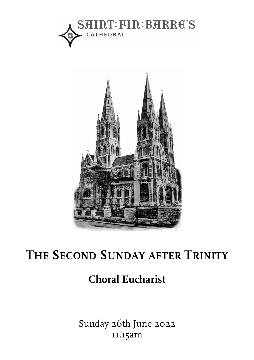



# **THE SECOND SUNDAY AFTER TRINITY Choral Evensong**

# **Choral Eucharist**

Sunday 26th June 2022 11.15am **FEAST OF THE CONVERSION OF SAINT PAUL**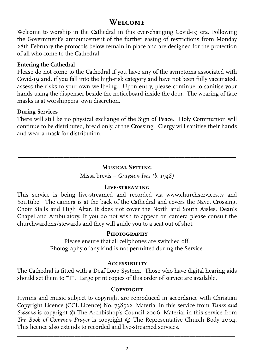# **Welcome**

Welcome to worship in the Cathedral in this ever-changing Covid-19 era. Following the Government's announcement of the further easing of restrictions from Monday 28th February the protocols below remain in place and are designed for the protection of all who come to the Cathedral.

## **Entering the Cathedral**

Please do not come to the Cathedral if you have any of the symptoms associated with Covid-19 and, if you fall into the high-risk category and have not been fully vaccinated, assess the risks to your own wellbeing. Upon entry, please continue to sanitise your hands using the dispenser beside the noticeboard inside the door. The wearing of face masks is at worshippers' own discretion.

## **During Services**

There will still be no physical exchange of the Sign of Peace. Holy Communion will continue to be distributed, bread only, at the Crossing. Clergy will sanitise their hands and wear a mask for distribution.

# **\_\_\_\_\_\_\_\_\_\_\_\_\_\_\_\_\_\_\_\_\_\_\_\_\_\_\_\_\_\_\_\_\_\_\_\_\_\_\_\_\_\_\_\_\_\_\_\_\_\_\_\_\_\_\_\_\_\_\_\_\_\_\_\_\_\_\_\_\_\_\_\_ Musical Setting**

Missa brevis – *Grayston Ives (b. 1948)* 

## **Live-streaming**

This service is being live-streamed and recorded via www.churchservices.tv and YouTube. The camera is at the back of the Cathedral and covers the Nave, Crossing, Choir Stalls and High Altar. It does not cover the North and South Aisles, Dean's Chapel and Ambulatory. If you do not wish to appear on camera please consult the churchwardens/stewards and they will guide you to a seat out of shot.

## **Photography**

Please ensure that all cellphones are switched off. Photography of any kind is not permitted during the Service.

## **Accessibility**

The Cathedral is fitted with a Deaf Loop System. Those who have digital hearing aids should set them to "T". Large print copies of this order of service are available.

## **Copyright**

Hymns and music subject to copyright are reproduced in accordance with Christian Copyright Licence (CCL Licence) No. 738522. Material in this service from *Times and Seasons* is copyright © The Archbishop's Council 2006. Material in this service from *The Book of Common Prayer* is copyright © The Representative Church Body 2004. This licence also extends to recorded and live-streamed services.

 $\overline{\phantom{a}}$  , and the contribution of the contribution of the contribution of the contribution of the contribution of the contribution of the contribution of the contribution of the contribution of the contribution of the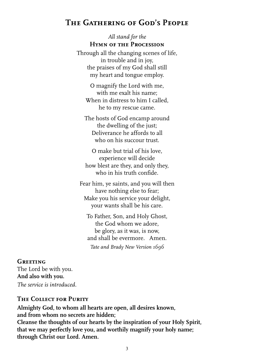# **The Gathering of God's People**

*All stand for the*  **Hymn of the Procession** 

Through all the changing scenes of life, in trouble and in joy, the praises of my God shall still my heart and tongue employ.

O magnify the Lord with me, with me exalt his name; When in distress to him I called, he to my rescue came.

The hosts of God encamp around the dwelling of the just; Deliverance he affords to all who on his succour trust.

O make but trial of his love, experience will decide how blest are they, and only they, who in his truth confide.

Fear him, ye saints, and you will then have nothing else to fear; Make you his service your delight, your wants shall be his care.

To Father, Son, and Holy Ghost, the God whom we adore, be glory, as it was, is now, and shall be evermore. Amen. *Tate and Brady New Version 1696* 

#### **Greeting**

The Lord be with you. **And also with you.**  *The service is introduced.* 

## **The Collect for Purity**

**Almighty God, to whom all hearts are open, all desires known, and from whom no secrets are hidden; Cleanse the thoughts of our hearts by the inspiration of your Holy Spirit, that we may perfectly love you, and worthily magnify your holy name; through Christ our Lord. Amen.**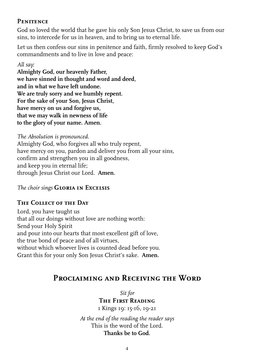## **Penitence**

God so loved the world that he gave his only Son Jesus Christ, to save us from our sins, to intercede for us in heaven, and to bring us to eternal life.

Let us then confess our sins in penitence and faith, firmly resolved to keep God's commandments and to live in love and peace:

## *All say:*

**Almighty God, our heavenly Father, we have sinned in thought and word and deed, and in what we have left undone. We are truly sorry and we humbly repent. For the sake of your Son, Jesus Christ, have mercy on us and forgive us, that we may walk in newness of life to the glory of your name. Amen.** 

*The Absolution is pronounced.*  Almighty God, who forgives all who truly repent, have mercy on you, pardon and deliver you from all your sins, confirm and strengthen you in all goodness, and keep you in eternal life; through Jesus Christ our Lord. **Amen.** 

## *The choir sings* **Gloria in Excelsis**

## **The Collect of the Day**

Lord, you have taught us that all our doings without love are nothing worth: Send your Holy Spirit and pour into our hearts that most excellent gift of love, the true bond of peace and of all virtues, without which whoever lives is counted dead before you. Grant this for your only Son Jesus Christ's sake. **Amen.** 

## **Proclaiming and Receiving the Word**

*Sit for* 

## **The First Reading**

1 Kings 19: 15-16, 19-21

*At the end of the reading the reader says*  This is the word of the Lord. **Thanks be to God.**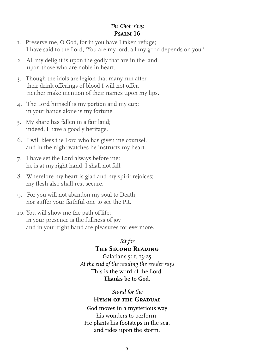## *The Choir sings*  **Psalm 16**

- 1. Preserve me, O God, for in you have I taken refuge; I have said to the Lord, 'You are my lord, all my good depends on you.'
- 2. All my delight is upon the godly that are in the land, upon those who are noble in heart.
- 3. Though the idols are legion that many run after, their drink offerings of blood I will not offer, neither make mention of their names upon my lips.
- 4. The Lord himself is my portion and my cup; in your hands alone is my fortune.
- 5. My share has fallen in a fair land; indeed, I have a goodly heritage.
- 6. I will bless the Lord who has given me counsel, and in the night watches he instructs my heart.
- 7. I have set the Lord always before me; he is at my right hand; I shall not fall.
- 8. Wherefore my heart is glad and my spirit rejoices; my flesh also shall rest secure.
- 9. For you will not abandon my soul to Death, nor suffer your faithful one to see the Pit.
- 10. You will show me the path of life; in your presence is the fullness of joy and in your right hand are pleasures for evermore.

#### *Sit for*

## **The Second Reading**

Galatians 5: 1, 13-25 *At the end of the reading the reader says*  This is the word of the Lord. **Thanks be to God.** 

*Stand for the* 

## **Hymn of the Gradual**

God moves in a mysterious way his wonders to perform; He plants his footsteps in the sea, and rides upon the storm.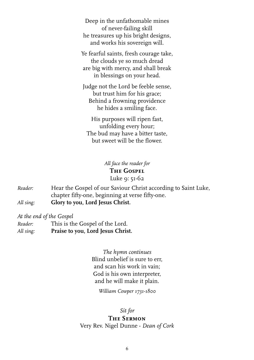Deep in the unfathomable mines of never-failing skill he treasures up his bright designs, and works his sovereign will.

Ye fearful saints, fresh courage take, the clouds ye so much dread are big with mercy, and shall break in blessings on your head.

Judge not the Lord be feeble sense, but trust him for his grace; Behind a frowning providence he hides a smiling face.

His purposes will ripen fast, unfolding every hour; The bud may have a bitter taste, but sweet will be the flower.

> *All face the reader for*  **The Gospel**  Luke 9: 51-62

*Reader:* Hear the Gospel of our Saviour Christ according to Saint Luke, chapter fifty-one, beginning at verse fifty-one. *All sing:* **Glory to you, Lord Jesus Christ.** 

*At the end of the Gospel* 

| Reader:   | This is the Gospel of the Lord.   |
|-----------|-----------------------------------|
| All sing: | Praise to you, Lord Jesus Christ. |

*The hymn continues*  Blind unbelief is sure to err, and scan his work in vain; God is his own interpreter, and he will make it plain.

*William Cowper 1731-1800* 

#### *Sit for*

#### **The Sermon**

Very Rev. Nigel Dunne - *Dean of Cork*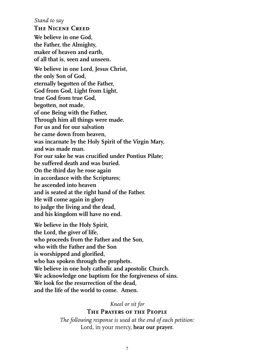*Stand to say* 

**The Nicene Creed**

**We believe in one God, the Father, the Almighty, maker of heaven and earth, of all that is, seen and unseen. We believe in one Lord, Jesus Christ, the only Son of God, eternally begotten of the Father, God from God, Light from Light, true God from true God, begotten, not made, of one Being with the Father, Through him all things were made. For us and for our salvation he came down from heaven, was incarnate by the Holy Spirit of the Virgin Mary, and was made man. For our sake he was crucified under Pontius Pilate; he suffered death and was buried. On the third day he rose again in accordance with the Scriptures; he ascended into heaven and is seated at the right hand of the Father. He will come again in glory to judge the living and the dead, and his kingdom will have no end. We believe in the Holy Spirit, the Lord, the giver of life, who proceeds from the Father and the Son, who with the Father and the Son** 

 **is worshipped and glorified,** 

 **who has spoken through the prophets.** 

 **We believe in one holy catholic and apostolic Church.** 

 **We acknowledge one baptism for the forgiveness of sins.** 

 **We look for the resurrection of the dead,** 

 **and the life of the world to come. Amen.** 

*Kneel or sit for* 

**The Prayers of the People** 

*The following response is used at the end of each petition:*  Lord, in your mercy, **hear our prayer.**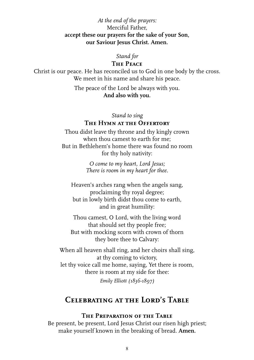*At the end of the prayers:* Merciful Father, **accept these our prayers for the sake of your Son, our Saviour Jesus Christ. Amen.** 

#### *Stand for*

#### **The Peace**

Christ is our peace. He has reconciled us to God in one body by the cross. We meet in his name and share his peace.

> The peace of the Lord be always with you. **And also with you.**

#### *Stand to sing*  **The Hymn at the Offertory**

Thou didst leave thy throne and thy kingly crown when thou camest to earth for me; But in Bethlehem's home there was found no room for thy holy nativity:

> *O come to my heart, Lord Jesus; There is room in my heart for thee.*

Heaven's arches rang when the angels sang, proclaiming thy royal degree; but in lowly birth didst thou come to earth, and in great humility:

Thou camest, O Lord, with the living word that should set thy people free; But with mocking scorn with crown of thorn they bore thee to Calvary:

When all heaven shall ring, and her choirs shall sing, at thy coming to victory, let thy voice call me home, saying, Yet there is room, there is room at my side for thee:

*Emily Elliott (1836-1897)* 

# **Celebrating at the Lord's Table**

#### **The Preparation of the Table**

Be present, be present, Lord Jesus Christ our risen high priest; make yourself known in the breaking of bread. **Amen.**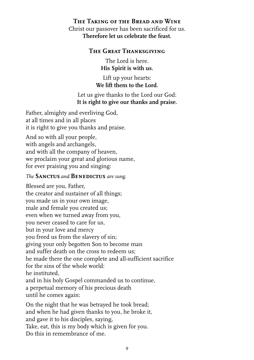## **The Taking of the Bread and Wine**  Christ our passover has been sacrificed for us. **Therefore let us celebrate the feast.**

## **The Great Thanksgiving**

The Lord is here. **His Spirit is with us.** 

Lift up your hearts: **We lift them to the Lord.** 

## Let us give thanks to the Lord our God: **It is right to give our thanks and praise.**

Father, almighty and everliving God, at all times and in all places it is right to give you thanks and praise.

And so with all your people, with angels and archangels, and with all the company of heaven, we proclaim your great and glorious name, for ever praising you and singing:

## *The* **Sanctus** *and* **Benedictus** *are sung.*

Blessed are you, Father, the creator and sustainer of all things; you made us in your own image, male and female you created us; even when we turned away from you, you never ceased to care for us, but in your love and mercy you freed us from the slavery of sin; giving your only begotten Son to become man and suffer death on the cross to redeem us; he made there the one complete and all-sufficient sacrifice for the sins of the whole world: he instituted, and in his holy Gospel commanded us to continue, a perpetual memory of his precious death until he comes again:

On the night that he was betrayed he took bread; and when he had given thanks to you, he broke it, and gave it to his disciples, saying, Take, eat, this is my body which is given for you. Do this in remembrance of me.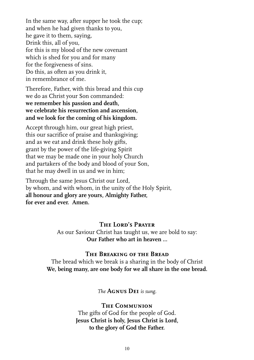In the same way, after supper he took the cup; and when he had given thanks to you, he gave it to them, saying, Drink this, all of you, for this is my blood of the new covenant which is shed for you and for many for the forgiveness of sins. Do this, as often as you drink it, in remembrance of me.

Therefore, Father, with this bread and this cup we do as Christ your Son commanded: **we remember his passion and death, we celebrate his resurrection and ascension, and we look for the coming of his kingdom.** 

Accept through him, our great high priest, this our sacrifice of praise and thanksgiving; and as we eat and drink these holy gifts, grant by the power of the life-giving Spirit that we may be made one in your holy Church and partakers of the body and blood of your Son, that he may dwell in us and we in him;

Through the same Jesus Christ our Lord, by whom, and with whom, in the unity of the Holy Spirit, **all honour and glory are yours, Almighty Father, for ever and ever. Amen.** 

#### **The Lord's Prayer**

As our Saviour Christ has taught us, we are bold to say: **Our Father who art in heaven ...** 

#### **The Breaking of the Bread**

The bread which we break is a sharing in the body of Christ **We, being many, are one body for we all share in the one bread.** 

*The* **Agnus Dei** *is sung.*

#### **The Communion**

The gifts of God for the people of God. **Jesus Christ is holy, Jesus Christ is Lord, to the glory of God the Father.**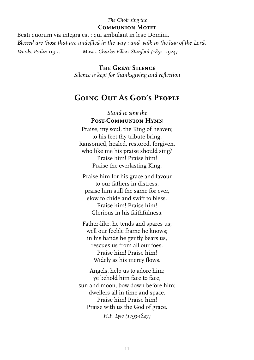## *The Choir sing the*  **Communion Motet**

Beati quorum via integra est : qui ambulant in lege Domini. *Blessed are those that are undefiled in the way : and walk in the law of the Lord. Words: Psalm 119:1. Music: Charles Villers Stanford (1852 -1924)* 

> **The Great Silence** *Silence is kept for thanksgiving and reflection*

# **Going Out As God's People**

*Stand to sing the*  **Post-Communion Hymn** 

Praise, my soul, the King of heaven; to his feet thy tribute bring. Ransomed, healed, restored, forgiven, who like me his praise should sing? Praise him! Praise him! Praise the everlasting King.

Praise him for his grace and favour to our fathers in distress; praise him still the same for ever, slow to chide and swift to bless. Praise him! Praise him! Glorious in his faithfulness.

Father-like, he tends and spares us; well our feeble frame he knows; in his hands he gently bears us, rescues us from all our foes. Praise him! Praise him! Widely as his mercy flows.

Angels, help us to adore him; ye behold him face to face; sun and moon, bow down before him; dwellers all in time and space. Praise him! Praise him! Praise with us the God of grace. *H.F. Lyte (1793-1847)*